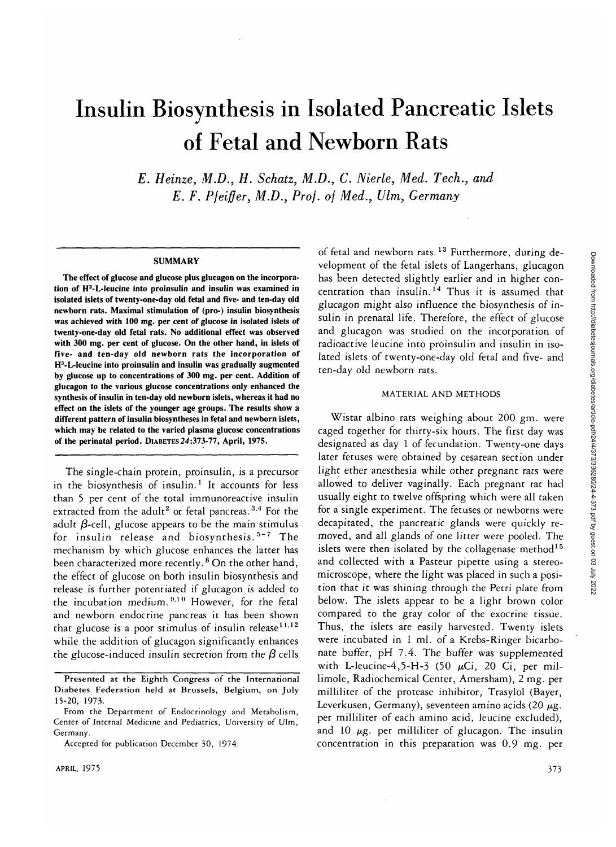# Insulin Biosynthesis in Isolated Pancreatic Islets of Fetal and Newborn Rats

*E. Heinze, M.D., H. Schatz, M.D., C. Nierle, Med. Tech., and E. F. Pfeiffer, M.D., Prof, of Med., Ulm, Germany*

#### **SUMMARY**

**The effect of glucose and glucose plus glucagon on the incorporation of H<sup>3</sup> -L-leucine into proinsulin and insulin was examined in isolated islets of twenty-one-day old fetal and five- and ten-day old newborn rats. Maximal stimulation of (pro-) insulin biosynthesis was achieved with 100 mg. per cent of glucose in isolated islets of twenty-one-day old fetal rats. No additional effect was observed with 300 mg. per cent of glucose. On the other hand, in islets of five- and ten-day old newborn rats the incorporation of H3 -L-leucine into proinsulin and insulin was gradually augmented by glucose up to concentrations of 300 mg. per cent. Addition of glucagon to the various glucose concentrations only enhanced the synthesis of insulin in ten-day old newborn islets, whereas it had no effect on the islets of the younger age groups. The results show a different pattern of insulin biosyntheses in fetal and newborn islets, which may be related to the varied plasma glucose concentrations of the perinatal period.** DIABETES **24:373-77, April, 1975.**

The single-chain protein, proinsulin, is a precursor in the biosynthesis of insulin.<sup>1</sup> It accounts for less than 5 per cent of the total immunoreactive insulin extracted from the adult<sup>2</sup> or fetal pancreas.<sup>3,4</sup> For the adult  $\beta$ -cell, glucose appears to be the main stimulus for insulin release and biosynthesis.<sup>5-7</sup> The mechanism by which glucose enhances the latter has been characterized more recently. <sup>8</sup> On the other hand, the effect of glucose on both insulin biosynthesis and release is further potentiated if glucagon is added to the incubation medium.<sup>9,10</sup> However, for the fetal and newborn endocrine pancreas it has been shown that glucose is a poor stimulus of insulin release $11.12$ while the addition of glucagon significantly enhances the glucose-induced insulin secretion from the  $\beta$  cells

of fetal and newborn rats.<sup>13</sup> Furthermore, during development of the fetal islets of Langerhans, glucagon has been detected slightly earlier and in higher concentration than insulin.<sup>14</sup> Thus it is assumed that glucagon might also influence the biosynthesis of insulin in prenatal life. Therefore, the effect of glucose and glucagon was studied on the incorporation of radioactive leucine into proinsulin and insulin in isolated islets of twenty-one-day old fetal and five- and ten-day old newborn rats.

## MATERIAL AND METHODS

Wistar albino rats weighing about 200 gm. were caged together for thirty-six hours. The first day was designated as day 1 of fecundation. Twenty-one days later fetuses were obtained by cesarean section under light ether anesthesia while other pregnant rats were allowed to deliver vaginally. Each pregnant rat had usually eight to twelve offspring which were all taken for a single experiment. The fetuses or newborns were decapitated, the pancreatic glands were quickly removed, and all glands of one litter were pooled. The islets were then isolated by the collagenase method<sup>15</sup> and collected with a Pasteur pipette using a stereomicroscope, where the light was placed in such a position that it was shining through the Petri plate from below. The islets appear to be a light brown color compared to the gray color of the exocrine tissue. Thus, the islets are easily harvested. Twenty islets were incubated in 1 ml. of a Krebs-Ringer bicarbonate buffer, pH 7.4. The buffer was supplemented with L-leucine-4,5-H-3 (50  $\mu$ Ci, 20 Ci, per millimole, Radiochemical Center, Amersham), 2 mg. per milliliter of the protease inhibitor, Trasylol (Bayer, Leverkusen, Germany), seventeen amino acids (20 *ng.* per milliliter of each amino acid, leucine excluded), and 10  $\mu$ g. per milliliter of glucagon. The insulin concentration in this preparation was 0.9 mg. per

Presented at the Eighth Congress of the International Diabetes Federation held at Brussels, Belgium, on July 15-20, 1973.

From the Department of Endocrinology and Metabolism, Center of Internal Medicine and Pediatrics, University of Ulm, Germany.

Accepted for publication December 30, 1974.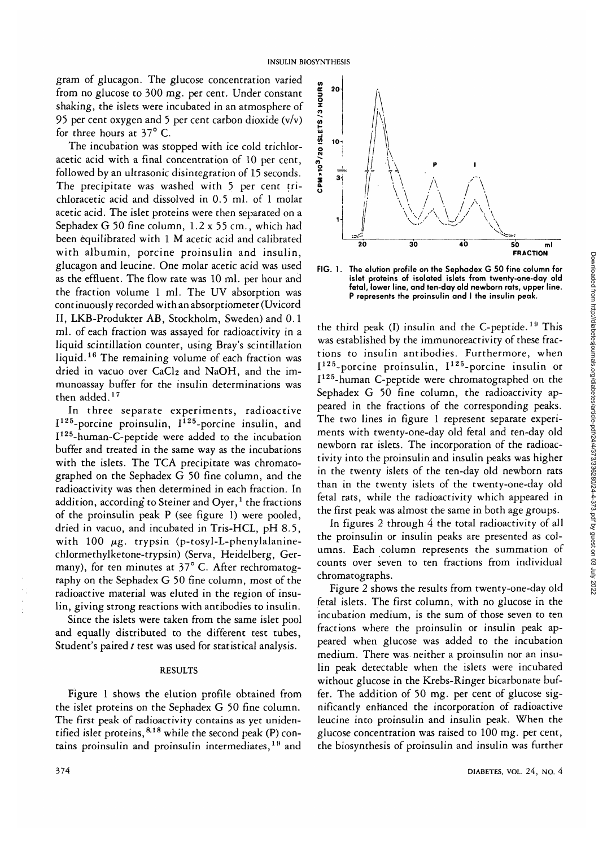gram of glucagon. The glucose concentration varied from no glucose to 300 mg. per cent. Under constant shaking, the islets were incubated in an atmosphere of 95 per cent oxygen and 5 per cent carbon dioxide  $(v/v)$ for three hours at 37° C.

The incubation was stopped with ice cold trichloracetic acid with a final concentration of 10 per cent, followed by an ultrasonic disintegration of 15 seconds. The precipitate was washed with 5 per cent trichloracetic acid and dissolved in 0.5 ml. of 1 molar acetic acid. The islet proteins were then separated on a Sephadex G 50 fine column, 1.2 x 55 cm., which had been equilibrated with 1 M acetic acid and calibrated with albumin, porcine proinsulin and insulin, glucagon and leucine. One molar acetic acid was used as the effluent. The flow rate was 10 ml. per hour and the fraction volume 1 ml. The UV absorption was continuously recorded with an absorptiometer (Uvicord II, LKB-Produkter AB, Stockholm, Sweden) and 0.1 ml. of each fraction was assayed for radioactivity in a liquid scintillation counter, using Bray's scintillation liquid.<sup>16</sup> The remaining volume of each fraction was dried in vacuo over CaCl2 and NaOH, and the immunoassay buffer for the insulin determinations was then added.<sup>17</sup>

In three separate experiments, radioactive I<sup>125</sup>-porcine proinsulin, I<sup>125</sup>-porcine insulin, and I<sup>125</sup>-human-C-peptide were added to the incubation buffer and treated in the same way as the incubations with the islets. The TCA precipitate was chromatographed on the Sephadex G 50 fine column, and the radioactivity was then determined in each fraction. In addition, according' to Steiner and Oyer,*<sup>1</sup>* the fractions of the proinsulin peak P (see figure 1) were pooled, dried in vacuo, and incubated in Tris-HCL, pH 8.5, with 100  $\mu$ g. trypsin (p-tosyl-L-phenylalaninechlormethylketone-trypsin) (Serva, Heidelberg, Germany), for ten minutes at 37° C. After rechromatography on the Sephadex G 50 fine column, most of the radioactive material was eluted in the region of insulin, giving strong reactions with antibodies to insulin.

Since the islets were taken from the same islet pool and equally distributed to the different test tubes, Student's paired  $t$  test was used for statistical analysis.

## RESULTS

Figure 1 shows the elution profile obtained from the islet proteins on the Sephadex G 50 fine column. The first peak of radioactivity contains as yet unidentified islet proteins, <sup>8,18</sup> while the second peak (P) contains proinsulin and proinsulin intermediates,<sup>19</sup> and



**FIG. 1. The elution profile on the Sephadex G 50 fine column for islet proteins of isolated islets from twenty-one-day old fetal, lower line, and ten-day old newborn rats, upper line. P represents the proinsulin and I the insulin peak.**

the third peak (I) insulin and the C-peptide.<sup>19</sup> This was established by the immunoreactivity of these fractions to insulin antibodies. Furthermore, when I<sup>125</sup>-porcine proinsulin, I<sup>125</sup>-porcine insulin or I<sup>125</sup>-human C-peptide were chromatographed on the Sephadex G 50 fine column, the radioactivity appeared in the fractions of the corresponding peaks. The two lines in figure 1 represent separate experiments with twenty-one-day old fetal and ten-day old newborn rat islets. The incorporation of the radioactivity into the proinsulin and insulin peaks was higher in the twenty islets of the ten-day old newborn rats than in the twenty islets of the twenty-one-day old fetal rats, while the radioactivity which appeared in the first peak was almost the same in both age groups.

In figures 2 through 4 the total radioactivity of all the proinsulin or insulin peaks are presented as columns. Each column represents the summation of counts over seven to ten fractions from individual chromatographs.

Figure 2 shows the results from twenty-one-day old fetal islets. The first column, with no glucose in the incubation medium, is the sum of those seven to ten fractions where the proinsulin or insulin peak appeared when glucose was added to the incubation medium. There was neither a proinsulin nor an insulin peak detectable when the islets were incubated without glucose in the Krebs-Ringer bicarbonate buffer. The addition of 50 mg. per cent of glucose significantly enhanced the incorporation of radioactive leucine into proinsulin and insulin peak. When the glucose concentration was raised to 100 mg. per cent, the biosynthesis of proinsulin and insulin was further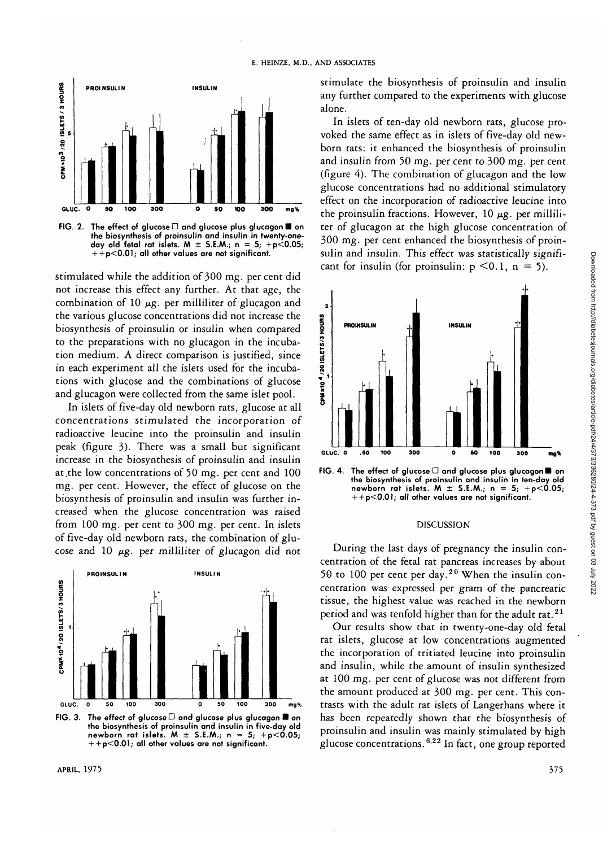

FIG. 2. The effect of alucose  $\Box$  and glucose plus glucagon  $\blacksquare$  on **the biosynthesis of proinsulin and insulin in twenty-oneday old fetal rat islets. M ± S.E.M.; n = 5; +p<0.05; + + p<O.Ol; all other values are not significant.**

stimulated while the addition of 300 mg. per cent did not increase this effect any further. At that age, the combination of 10  $\mu$ g. per milliliter of glucagon and the various glucose concentrations did not increase the biosynthesis of proinsulin or insulin when compared to the preparations with no glucagon in the incubation medium. A direct comparison is justified, since in each experiment all the islets used for the incubations with glucose and the combinations of glucose and glucagon were collected from the same islet pool.

In islets of five-day old newborn rats, glucose at all concentrations stimulated the incorporation of radioactive leucine into the proinsulin and insulin peak (figure 3). There was a small but significant increase in the biosynthesis of proinsulin and insulin at .the low concentrations of 50 mg. per cent and 100 mg. per cent. However, the effect of glucose on the biosynthesis of proinsulin and insulin was further increased when the glucose concentration was raised from 100 mg. per cent to 300 mg. per cent. In islets of five-day old newborn rats, the combination of glucose and 10  $\mu$ g. per milliliter of glucagon did not



FIG. 3. The effect of glucose D and glucose plus glucagon **a** on **the biosynthesis of proinsulin and insulin in five-day old newborn rat islets. M**  $\pm$  S.E.M.; n = 5; +p<0.05; **+ + p<0.01; all other values are not significant.**

stimulate the biosynthesis of proinsulin and insulin any further compared to the experiments with glucose alone.

In islets of ten-day old newborn rats, glucose provoked the same effect as in islets of five-day old newborn rats: it enhanced the biosynthesis of proinsulin and insulin from 50 mg. per cent to 300 mg. per cent (figure 4). The combination of glucagon and the low glucose concentrations had no additional stimulatory effect on the incorporation of radioactive leucine into the proinsulin fractions. However,  $10 \mu$ g. per milliliter of glucagon at the high glucose concentration of 300 mg. per cent enhanced the biosynthesis of proinsulin and insulin. This effect was statistically significant for insulin (for proinsulin:  $p \le 0.1$ ,  $n = 5$ ).



FIG. 4. The effect of glucose<sup>[C]</sup> and glucose plus glucagon **a** on **the biosynthesis of proinsulin and insulin in ten-day old** newborn rat islets.  $M \pm S.E.M.; n = 5; +p<0.05;$ **+ + p<0.01; all other values are not significant.**

#### DISCUSSION

During the last days of pregnancy the insulin concentration of the fetal rat pancreas increases by about 50 to 100 per cent per day.<sup>20</sup> When the insulin concentration was expressed per gram of the pancreatic tissue, the highest value was reached in the newborn period and was tenfold higher than for the adult rat.<sup>21</sup>

Our results show that in twenty-one-day old fetal rat islets, glucose at low concentrations augmented the incorporation of tritiated leucine into proinsulin and insulin, while the amount of insulin synthesized at 100 mg. per cent of glucose was not different from the amount produced at 300 mg. per cent. This contrasts with the adult rat islets of Langerhans where it has been repeatedly shown that the biosynthesis of proinsulin and insulin was mainly stimulated by high glucose concentrations.<sup>622</sup> In fact, one group reported

Downloaded from http://diabetesjournals.org/diabetes/article-pdf/24/4/373/336280/24-4-373.pdf by guest on 03 July 2022

Downloaded from http://diabetesjournals.org/diabetes/article-pdf/24/373/336280/24-4-373.pdf by guest on 03 July 2022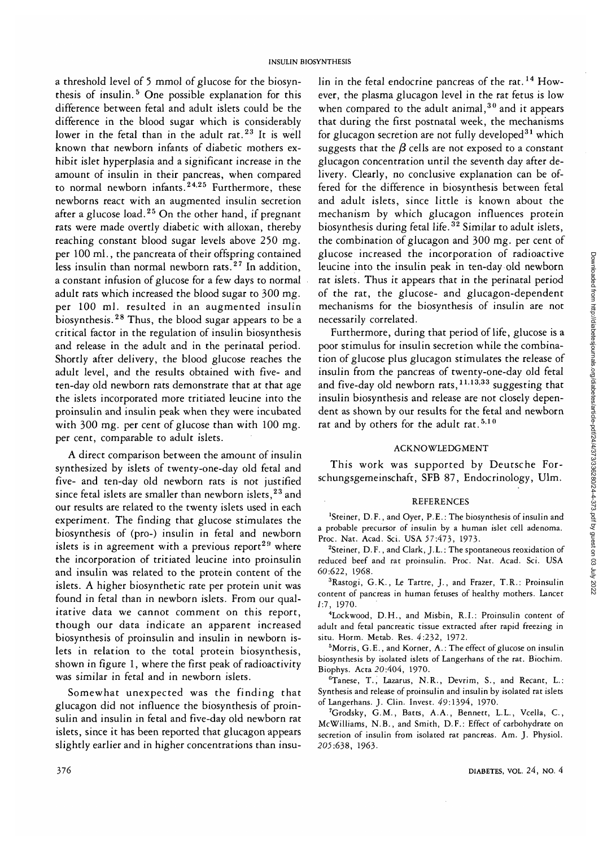a threshold level of 5 mmol of glucose for the biosynthesis of insulin.<sup>5</sup> One possible explanation for this difference between fetal and adult islets could be the difference in the blood sugar which is considerably lower in the fetal than in the adult rat.<sup>23</sup> It is well known that newborn infants of diabetic mothers exhibit islet hyperplasia and a significant increase in the amount of insulin in their pancreas, when compared to normal newborn infants.<sup>24,25</sup> Furthermore, these newborns react with an augmented insulin secretion after a glucose load.<sup>25</sup> On the other hand, if pregnant rats were made overtly diabetic with alloxan, thereby reaching constant blood sugar levels above 250 mg. per 100 ml., the pancreata of their offspring contained less insulin than normal newborn rats.<sup>27</sup> In addition, a constant infusion of glucose for a few days to normal adult rats which increased the blood sugar to 300 mg. per 100 ml. resulted in an augmented insulin .<br>biosynthesis.<sup>28</sup> Thus, the blood sugar appears to be a critical factor in the regulation of insulin biosynthesis and release in the adult and in the perinatal period. Shortly after delivery, the blood glucose reaches the adult level, and the results obtained with five- and ten-day old newborn rats demonstrate that at that age the islets incorporated more tritiated leucine into the proinsulin and insulin peak when they were incubated with 300 mg. per cent of glucose than with 100 mg. per cent, comparable to adult islets.

A direct comparison between the amount of insulin synthesized by islets of twenty-one-day old fetal and five- and ten-day old newborn rats is not justified since fetal islets are smaller than newborn islets,<sup>23</sup> and our results are related to the twenty islets used in each experiment. The finding that glucose stimulates the biosynthesis of (pro-) insulin in fetal and newborn islets is in agreement with a previous report<sup>29</sup> where the incorporation of tritiated leucine into proinsulin and insulin was related to the protein content of the islets. A higher biosynthetic rate per protein unit was found in fetal than in newborn islets. From our qualitative data we cannot comment on this report, though our data indicate an apparent increased biosynthesis of proinsulin and insulin in newborn islets in relation to the total protein biosynthesis, shown in figure 1, where the first peak of radioactivity was similar in fetal and in newborn islets.

Somewhat unexpected was the finding that glucagon did not influence the biosynthesis of proinsulin and insulin in fetal and five-day old newborn rat islets, since it has been reported that glucagon appears slightly earlier and in higher concentrations than insu-

lin in the fetal endocrine pancreas of the rat.<sup>14</sup> However, the plasma glucagon level in the rat fetus is low when compared to the adult animal,  $30$  and it appears that during the first postnatal week, the mechanisms for glucagon secretion are not fully developed $^{31}$  which suggests that the  $\beta$  cells are not exposed to a constant glucagon concentration until the seventh day after delivery. Clearly, no conclusive explanation can be offered for the difference in biosynthesis between fetal and adult islets, since little is known about the mechanism by which glucagon influences protein biosynthesis during fetal life.<sup>32</sup> Similar to adult islets, the combination of glucagon and 300 mg. per cent of glucose increased the incorporation of radioactive leucine into the insulin peak in ten-day old newborn rat islets. Thus it appears that in the perinatal period of the rat, the glucose- and glucagon-dependent mechanisms for the biosynthesis of insulin are not necessarily correlated.

Furthermore, during that period of life, glucose is a poor stimulus for insulin secretion while the combination of glucose plus glucagon stimulates the release of insulin from the pancreas of twenty-one-day old fetal and five-day old newborn rats,  $^{11,13,33}$  suggesting that insulin biosynthesis and release are not closely dependent as shown by our results for the fetal and newborn rat and by others for the adult rat.  $5.10$ 

## ACKNOWLEDGMENT

This work was supported by Deutsche Forschungsgemeinschaft, SFB 87, Endocrinology, Ulm.

## REFERENCES

'Steiner, D.F., and Oyer, P.E.: The biosynthesis of insulin and a probable precursor of insulin by a human islet cell adenoma. Proc. Nat. Acad. Sci. USA 37:473, 1973.

<sup>2</sup>Steiner, D.F., and Clark, J.L.: The spontaneous reoxidation of reduced beef and rat proinsulin. Proc. Nat. Acad. Sci. USA 60:622, 1968.

<sup>3</sup>Rastogi, G.K., Le Tartre, J., and Frazer, T.R.: Proinsulin content of pancreas in human fetuses of healthy mothers. Lancet *1:1,* 1970.

4 Lockwood, D.H., and Misbin, R.I.: Proinsulin content of adult and fetal pancreatic tissue extracted after rapid freezing in situ. Horm. Metab. Res. 4:232, 1972.

<sup>5</sup>Morris, G.E., and Korner, A.: The effect of glucose on insulin biosynthesis by isolated islets of Langerhans of the rat. Biochim. Biophys. Acta 20:404, 1970.

<sup>6</sup>Tanese, T., Lazarus, N.R., Devrim, S., and Recant, L.: Synthesis and release of proinsulin and insulin by isolated rat islets of Langerhans. J. Clin. Invest. 49:1394, 1970.

<sup>7</sup>Grodsky, G.M., Batts, A.A., Bennett, L.L., Vcella, C., McWilliams, N.B., and Smith, D.F.: Effect of carbohydrate on secretion of insulin from isolated rat pancreas. Am. J. Physiol. 203:638, 1963.